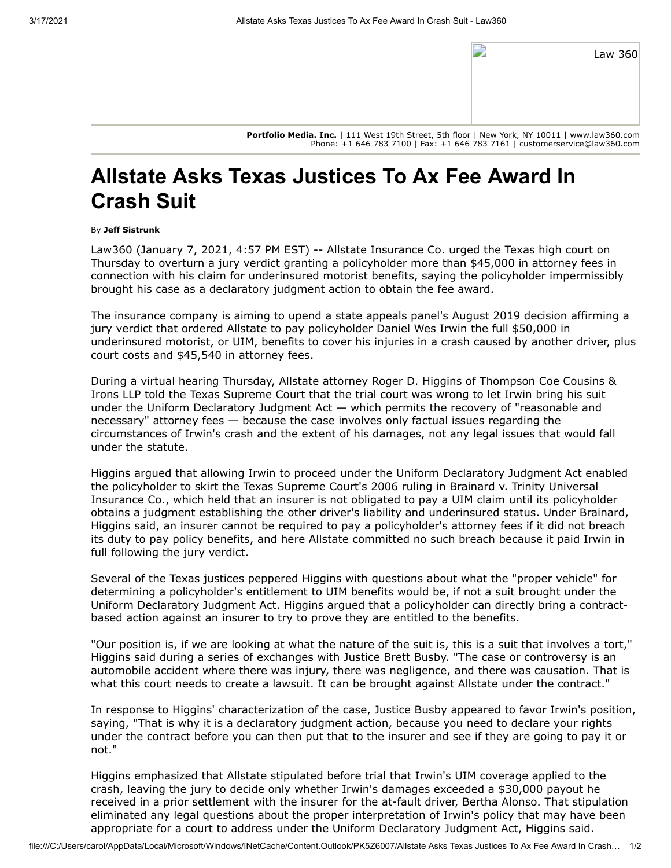| Law 360 |  |
|---------|--|
|         |  |

**Portfolio Media. Inc.** | 111 West 19th Street, 5th floor | New York, NY 10011 | www.law360.com Phone: +1 646 783 7100 | Fax: +1 646 783 7161 | customerservice@law360.com

## **Allstate Asks Texas Justices To Ax Fee Award In Crash Suit**

## By **Jeff Sistrunk**

Law360 (January 7, 2021, 4:57 PM EST) -- [Allstate Insurance Co](https://www.law360.com/companies/the-allstate-corp). urged the Texas high court on Thursday to overturn a jury verdict granting a policyholder more than \$45,000 in attorney fees in connection with his claim for underinsured motorist benefits, saying the policyholder impermissibly brought his case as a declaratory judgment action to obtain the fee award.

The insurance company is aiming to upend a state appeals panel's August 2019 decision affirming a jury verdict that ordered Allstate to pay policyholder Daniel Wes Irwin the full \$50,000 in underinsured motorist, or UIM, benefits to cover his injuries in a crash caused by another driver, plus court costs and \$45,540 in attorney fees.

[During a virtual hearing Thursday, Allstate attorney Roger D. Higgins of Thompson Coe Cousins &](https://www.law360.com/firms/thompson-coe) Irons LLP told the Texas Supreme Court that the trial court was wrong to let Irwin bring his suit under the Uniform Declaratory Judgment Act — which permits the recovery of "reasonable and necessary" attorney fees — because the case involves only factual issues regarding the circumstances of Irwin's crash and the extent of his damages, not any legal issues that would fall under the statute.

Higgins argued that allowing Irwin to proceed under the Uniform Declaratory Judgment Act enabled [the policyholder to skirt the Texas Supreme Court's 2006 ruling in Brainard v. Trinity Universal](https://www.law360.com/companies/universal-insurance-holdings-inc) Insurance Co., which held that an insurer is not obligated to pay a UIM claim until its policyholder obtains a judgment establishing the other driver's liability and underinsured status. Under Brainard, Higgins said, an insurer cannot be required to pay a policyholder's attorney fees if it did not breach its duty to pay policy benefits, and here Allstate committed no such breach because it paid Irwin in full following the jury verdict.

Several of the Texas justices peppered Higgins with questions about what the "proper vehicle" for determining a policyholder's entitlement to UIM benefits would be, if not a suit brought under the Uniform Declaratory Judgment Act. Higgins argued that a policyholder can directly bring a contractbased action against an insurer to try to prove they are entitled to the benefits.

"Our position is, if we are looking at what the nature of the suit is, this is a suit that involves a tort," Higgins said during a series of exchanges with Justice Brett Busby. "The case or controversy is an automobile accident where there was injury, there was negligence, and there was causation. That is what this court needs to create a lawsuit. It can be brought against Allstate under the contract."

In response to Higgins' characterization of the case, Justice Busby appeared to favor Irwin's position, saying, "That is why it is a declaratory judgment action, because you need to declare your rights under the contract before you can then put that to the insurer and see if they are going to pay it or not."

Higgins emphasized that Allstate stipulated before trial that Irwin's UIM coverage applied to the crash, leaving the jury to decide only whether Irwin's damages exceeded a \$30,000 payout he received in a prior settlement with the insurer for the at-fault driver, Bertha Alonso. That stipulation eliminated any legal questions about the proper interpretation of Irwin's policy that may have been appropriate for a court to address under the Uniform Declaratory Judgment Act, Higgins said.